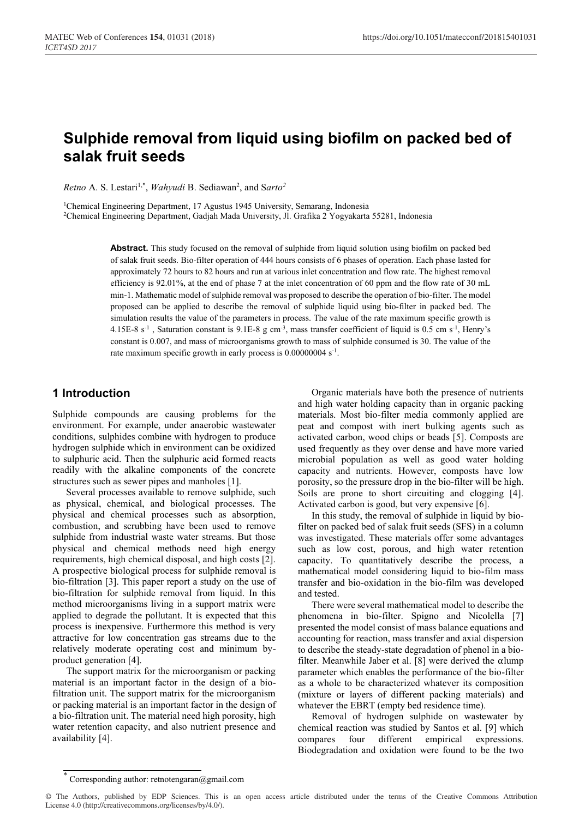# **Sulphide removal from liquid using biofilm on packed bed of salak fruit seeds**

Retno A. S. Lestari<sup>1,\*</sup>, *Wahyudi* B. Sediawan<sup>2</sup>, and Sarto<sup>2</sup>

1Chemical Engineering Department, 17 Agustus 1945 University, Semarang, Indonesia 2Chemical Engineering Department, Gadjah Mada University, Jl. Grafika 2 Yogyakarta 55281, Indonesia

**Abstract.** This study focused on the removal of sulphide from liquid solution using biofilm on packed bed of salak fruit seeds. Bio-filter operation of 444 hours consists of 6 phases of operation. Each phase lasted for approximately 72 hours to 82 hours and run at various inlet concentration and flow rate. The highest removal efficiency is 92.01%, at the end of phase 7 at the inlet concentration of 60 ppm and the flow rate of 30 mL min-1. Mathematic model of sulphide removal was proposed to describe the operation of bio-filter. The model proposed can be applied to describe the removal of sulphide liquid using bio-filter in packed bed. The simulation results the value of the parameters in process. The value of the rate maximum specific growth is 4.15E-8  $s^{-1}$ , Saturation constant is 9.1E-8 g cm<sup>-3</sup>, mass transfer coefficient of liquid is 0.5 cm  $s^{-1}$ , Henry's constant is 0.007, and mass of microorganisms growth to mass of sulphide consumed is 30. The value of the rate maximum specific growth in early process is  $0.00000004$  s<sup>-1</sup>.

# **1 Introduction**

Sulphide compounds are causing problems for the environment. For example, under anaerobic wastewater conditions, sulphides combine with hydrogen to produce hydrogen sulphide which in environment can be oxidized to sulphuric acid. Then the sulphuric acid formed reacts readily with the alkaline components of the concrete structures such as sewer pipes and manholes [1].

Several processes available to remove sulphide, such as physical, chemical, and biological processes. The physical and chemical processes such as absorption, combustion, and scrubbing have been used to remove sulphide from industrial waste water streams. But those physical and chemical methods need high energy requirements, high chemical disposal, and high costs [2]. A prospective biological process for sulphide removal is bio-filtration [3]. This paper report a study on the use of bio-filtration for sulphide removal from liquid. In this method microorganisms living in a support matrix were applied to degrade the pollutant. It is expected that this process is inexpensive. Furthermore this method is very attractive for low concentration gas streams due to the relatively moderate operating cost and minimum byproduct generation [4].

The support matrix for the microorganism or packing material is an important factor in the design of a biofiltration unit. The support matrix for the microorganism or packing material is an important factor in the design of a bio-filtration unit. The material need high porosity, high water retention capacity, and also nutrient presence and availability [4].

Organic materials have both the presence of nutrients and high water holding capacity than in organic packing materials. Most bio-filter media commonly applied are peat and compost with inert bulking agents such as activated carbon, wood chips or beads [5]. Composts are used frequently as they over dense and have more varied microbial population as well as good water holding capacity and nutrients. However, composts have low porosity, so the pressure drop in the bio-filter will be high. Soils are prone to short circuiting and clogging [4]. Activated carbon is good, but very expensive [6].

In this study, the removal of sulphide in liquid by biofilter on packed bed of salak fruit seeds (SFS) in a column was investigated. These materials offer some advantages such as low cost, porous, and high water retention capacity. To quantitatively describe the process, a mathematical model considering liquid to bio-film mass transfer and bio-oxidation in the bio-film was developed and tested.

There were several mathematical model to describe the phenomena in bio-filter. Spigno and Nicolella [7] presented the model consist of mass balance equations and accounting for reaction, mass transfer and axial dispersion to describe the steady-state degradation of phenol in a biofilter. Meanwhile Jaber et al. [8] were derived the  $\alpha$ lump parameter which enables the performance of the bio-filter as a whole to be characterized whatever its composition (mixture or layers of different packing materials) and whatever the EBRT (empty bed residence time).

Removal of hydrogen sulphide on wastewater by chemical reaction was studied by Santos et al. [9] which compares four different empirical expressions. Biodegradation and oxidation were found to be the two

Corresponding author: retnotengaran@gmail.com

<sup>©</sup> The Authors, published by EDP Sciences. This is an open access article distributed under the terms of the Creative Commons Attribution License 4.0 (http://creativecommons.org/licenses/by/4.0/).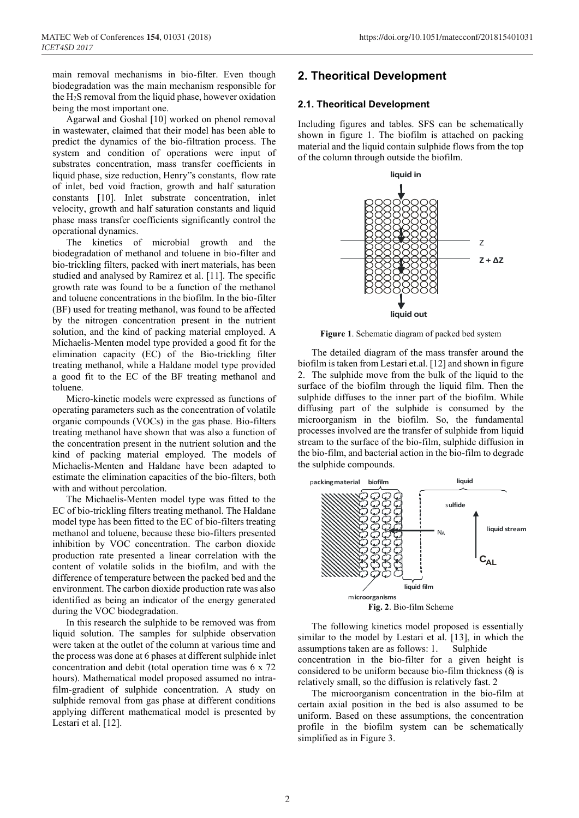main removal mechanisms in bio-filter. Even though biodegradation was the main mechanism responsible for the H2S removal from the liquid phase, however oxidation being the most important one.

Agarwal and Goshal [10] worked on phenol removal in wastewater, claimed that their model has been able to predict the dynamics of the bio-filtration process. The system and condition of operations were input of substrates concentration, mass transfer coefficients in liquid phase, size reduction, Henry"s constants, flow rate of inlet, bed void fraction, growth and half saturation constants [10]. Inlet substrate concentration, inlet velocity, growth and half saturation constants and liquid phase mass transfer coefficients significantly control the operational dynamics.

The kinetics of microbial growth and the biodegradation of methanol and toluene in bio-filter and bio-trickling filters, packed with inert materials, has been studied and analysed by Ramirez et al. [11]. The specific growth rate was found to be a function of the methanol and toluene concentrations in the biofilm. In the bio-filter (BF) used for treating methanol, was found to be affected by the nitrogen concentration present in the nutrient solution, and the kind of packing material employed. A Michaelis-Menten model type provided a good fit for the elimination capacity (EC) of the Bio-trickling filter treating methanol, while a Haldane model type provided a good fit to the EC of the BF treating methanol and toluene.

Micro-kinetic models were expressed as functions of operating parameters such as the concentration of volatile organic compounds (VOCs) in the gas phase. Bio-filters treating methanol have shown that was also a function of the concentration present in the nutrient solution and the kind of packing material employed. The models of Michaelis-Menten and Haldane have been adapted to estimate the elimination capacities of the bio-filters, both with and without percolation.

The Michaelis-Menten model type was fitted to the EC of bio-trickling filters treating methanol. The Haldane model type has been fitted to the EC of bio-filters treating methanol and toluene, because these bio-filters presented inhibition by VOC concentration. The carbon dioxide production rate presented a linear correlation with the content of volatile solids in the biofilm, and with the difference of temperature between the packed bed and the environment. The carbon dioxide production rate was also identified as being an indicator of the energy generated during the VOC biodegradation.

In this research the sulphide to be removed was from liquid solution. The samples for sulphide observation were taken at the outlet of the column at various time and the process was done at 6 phases at different sulphide inlet concentration and debit (total operation time was 6 x 72 hours). Mathematical model proposed assumed no intrafilm-gradient of sulphide concentration. A study on sulphide removal from gas phase at different conditions applying different mathematical model is presented by Lestari et al. [12].

# **2. Theoritical Development**

## **2.1. Theoritical Development**

Including figures and tables. SFS can be schematically shown in figure 1. The biofilm is attached on packing material and the liquid contain sulphide flows from the top of the column through outside the biofilm.



**Figure 1**. Schematic diagram of packed bed system

The detailed diagram of the mass transfer around the biofilm is taken from Lestari et.al. [12] and shown in figure 2. The sulphide move from the bulk of the liquid to the surface of the biofilm through the liquid film. Then the sulphide diffuses to the inner part of the biofilm. While diffusing part of the sulphide is consumed by the microorganism in the biofilm. So, the fundamental processes involved are the transfer of sulphide from liquid stream to the surface of the bio-film, sulphide diffusion in the bio-film, and bacterial action in the bio-film to degrade the sulphide compounds.



The following kinetics model proposed is essentially similar to the model by Lestari et al. [13], in which the assumptions taken are as follows: 1. Sulphide concentration in the bio-filter for a given height is considered to be uniform because bio-film thickness (δ) is relatively small, so the diffusion is relatively fast. 2

The microorganism concentration in the bio-film at certain axial position in the bed is also assumed to be uniform. Based on these assumptions, the concentration profile in the biofilm system can be schematically simplified as in Figure 3.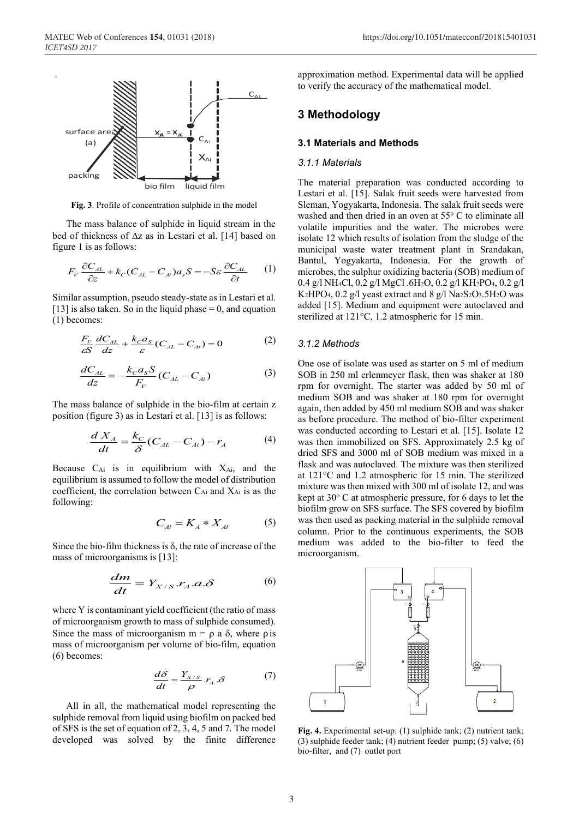

**Fig. 3**. Profile of concentration sulphide in the model

The mass balance of sulphide in liquid stream in the bed of thickness of  $\Delta z$  as in Lestari et al. [14] based on figure 1 is as follows:

$$
F_V \frac{\partial C_{AL}}{\partial z} + k_C (C_{AL} - C_{Ai}) a_s S = -S \varepsilon \frac{\partial C_{AL}}{\partial t} \qquad (1)
$$

Similar assumption, pseudo steady-state as in Lestari et al. [13] is also taken. So in the liquid phase  $= 0$ , and equation (1) becomes:

$$
\frac{F_v}{\varepsilon S} \frac{dC_{AL}}{dz} + \frac{k_c a_s}{\varepsilon} (C_{AL} - C_{Ai}) = 0
$$
 (2)

$$
\frac{dC_{_{AL}}}{dz} = -\frac{k_c a_s S}{F_V} (C_{_{AL}} - C_{_{Ai}})
$$
\n(3)

The mass balance of sulphide in the bio-film at certain z position (figure 3) as in Lestari et al. [13] is as follows:

$$
\frac{d X_A}{dt} = \frac{k_C}{\delta} (C_{AL} - C_{Ai}) - r_A \tag{4}
$$

Because C<sub>Ai</sub> is in equilibrium with X<sub>Ai</sub>, and the equilibrium is assumed to follow the model of distribution coefficient, the correlation between CAi and XAi is as the following:

$$
C_{Ai} = K_A * X_{Ai} \tag{5}
$$

Since the bio-film thickness is  $\delta$ , the rate of increase of the mass of microorganisms is [13]:

$$
\frac{dm}{dt} = Y_{X/S}.r_A.a.\delta \tag{6}
$$

where Y is contaminant yield coefficient (the ratio of mass of microorganism growth to mass of sulphide consumed). Since the mass of microorganism  $m = \rho a \delta$ , where  $\rho$  is mass of microorganism per volume of bio-film, equation (6) becomes:

$$
\frac{d\delta}{dt} = \frac{Y_{X/S}}{\rho} . r_A . \delta \tag{7}
$$

All in all, the mathematical model representing the sulphide removal from liquid using biofilm on packed bed of SFS is the set of equation of 2, 3, 4, 5 and 7. The model developed was solved by the finite difference

approximation method. Experimental data will be applied to verify the accuracy of the mathematical model.

# **3 Methodology**

# **3.1 Materials and Methods**

#### *3.1.1 Materials*

The material preparation was conducted according to Lestari et al. [15]. Salak fruit seeds were harvested from Sleman, Yogyakarta, Indonesia. The salak fruit seeds were washed and then dried in an oven at  $55^{\circ}$  C to eliminate all volatile impurities and the water. The microbes were isolate 12 which results of isolation from the sludge of the municipal waste water treatment plant in Srandakan, Bantul, Yogyakarta, Indonesia. For the growth of microbes, the sulphur oxidizing bacteria (SOB) medium of 0.4 g/l NH4Cl, 0.2 g/l MgCl .6H2O, 0.2 g/l KH2PO4, 0.2 g/l K<sub>2</sub>HPO<sub>4</sub>, 0.2 g/l yeast extract and 8 g/l Na<sub>2</sub>S<sub>2</sub>O<sub>3</sub>.5H<sub>2</sub>O was added [15]. Medium and equipment were autoclaved and sterilized at 121°C, 1.2 atmospheric for 15 min.

#### *3.1.2 Methods*

One ose of isolate was used as starter on 5 ml of medium SOB in 250 ml erlenmeyer flask, then was shaker at 180 rpm for overnight. The starter was added by 50 ml of medium SOB and was shaker at 180 rpm for overnight again, then added by 450 ml medium SOB and was shaker as before procedure. The method of bio-filter experiment was conducted according to Lestari et al. [15]. Isolate 12 was then immobilized on SFS. Approximately 2.5 kg of dried SFS and 3000 ml of SOB medium was mixed in a flask and was autoclaved. The mixture was then sterilized at 121°C and 1.2 atmospheric for 15 min. The sterilized mixture was then mixed with 300 ml of isolate 12, and was kept at  $30^{\circ}$  C at atmospheric pressure, for 6 days to let the biofilm grow on SFS surface. The SFS covered by biofilm was then used as packing material in the sulphide removal column. Prior to the continuous experiments, the SOB medium was added to the bio-filter to feed the microorganism.



**Fig. 4.** Experimental set-up: (1) sulphide tank; (2) nutrient tank; (3) sulphide feeder tank; (4) nutrient feeder pump; (5) valve; (6) bio-filter, and (7) outlet port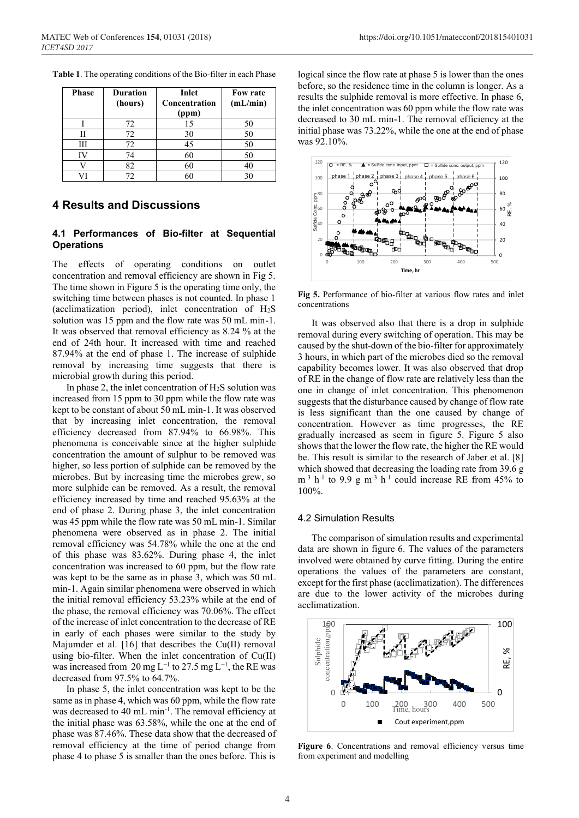|  |  | <b>Table 1.</b> The operating conditions of the Bio-filter in each Phase |
|--|--|--------------------------------------------------------------------------|
|--|--|--------------------------------------------------------------------------|

| <b>Phase</b> | <b>Duration</b><br>(hours) | Inlet<br>Concentration<br>(ppm) | Fow rate<br>(mL/min) |
|--------------|----------------------------|---------------------------------|----------------------|
|              | 72                         |                                 | 50                   |
| Н            | 72                         | 30                              | 50                   |
| Ш            | 72                         | 45                              | 50                   |
|              | 74                         | 60                              | 50                   |
|              | 82                         | 60                              |                      |
|              | 72                         |                                 |                      |

# **4 Results and Discussions**

## **4.1 Performances of Bio-filter at Sequential Operations**

The effects of operating conditions on outlet concentration and removal efficiency are shown in Fig 5. The time shown in Figure 5 is the operating time only, the switching time between phases is not counted. In phase 1 (acclimatization period), inlet concentration of H2S solution was 15 ppm and the flow rate was 50 mL min-1. It was observed that removal efficiency as 8.24 % at the end of 24th hour. It increased with time and reached 87.94% at the end of phase 1. The increase of sulphide removal by increasing time suggests that there is microbial growth during this period.

In phase 2, the inlet concentration of  $H_2S$  solution was increased from 15 ppm to 30 ppm while the flow rate was kept to be constant of about 50 mL min-1. It was observed that by increasing inlet concentration, the removal efficiency decreased from 87.94% to 66.98%. This phenomena is conceivable since at the higher sulphide concentration the amount of sulphur to be removed was higher, so less portion of sulphide can be removed by the microbes. But by increasing time the microbes grew, so more sulphide can be removed. As a result, the removal efficiency increased by time and reached 95.63% at the end of phase 2. During phase 3, the inlet concentration was 45 ppm while the flow rate was 50 mL min-1. Similar phenomena were observed as in phase 2. The initial removal efficiency was 54.78% while the one at the end of this phase was 83.62%. During phase 4, the inlet concentration was increased to 60 ppm, but the flow rate was kept to be the same as in phase 3, which was 50 mL min-1. Again similar phenomena were observed in which the initial removal efficiency 53.23% while at the end of the phase, the removal efficiency was 70.06%. The effect of the increase of inlet concentration to the decrease of RE in early of each phases were similar to the study by Majumder et al. [16] that describes the Cu(II) removal using bio-filter. When the inlet concentration of Cu(II) was increased from 20 mg L<sup>-1</sup> to 27.5 mg L<sup>-1</sup>, the RE was decreased from 97.5% to 64.7%.

In phase 5, the inlet concentration was kept to be the same as in phase 4, which was 60 ppm, while the flow rate was decreased to 40 mL min<sup>-1</sup>. The removal efficiency at the initial phase was 63.58%, while the one at the end of phase was 87.46%. These data show that the decreased of removal efficiency at the time of period change from phase 4 to phase 5 is smaller than the ones before. This is

logical since the flow rate at phase 5 is lower than the ones before, so the residence time in the column is longer. As a results the sulphide removal is more effective. In phase 6, the inlet concentration was 60 ppm while the flow rate was decreased to 30 mL min-1. The removal efficiency at the initial phase was 73.22%, while the one at the end of phase was 92.10%.



**Fig 5.** Performance of bio-filter at various flow rates and inlet concentrations

It was observed also that there is a drop in sulphide removal during every switching of operation. This may be caused by the shut-down of the bio-filter for approximately 3 hours, in which part of the microbes died so the removal capability becomes lower. It was also observed that drop of RE in the change of flow rate are relatively less than the one in change of inlet concentration. This phenomenon suggests that the disturbance caused by change of flow rate is less significant than the one caused by change of concentration. However as time progresses, the RE gradually increased as seem in figure 5. Figure 5 also shows that the lower the flow rate, the higher the RE would be. This result is similar to the research of Jaber et al. [8] which showed that decreasing the loading rate from 39.6 g  $m^{-3}$  h<sup>-1</sup> to 9.9 g m<sup>-3</sup> h<sup>-1</sup> could increase RE from 45% to 100%.

## 4.2 Simulation Results

The comparison of simulation results and experimental data are shown in figure 6. The values of the parameters involved were obtained by curve fitting. During the entire operations the values of the parameters are constant, except for the first phase (acclimatization). The differences are due to the lower activity of the microbes during acclimatization.



**Figure 6**. Concentrations and removal efficiency versus time from experiment and modelling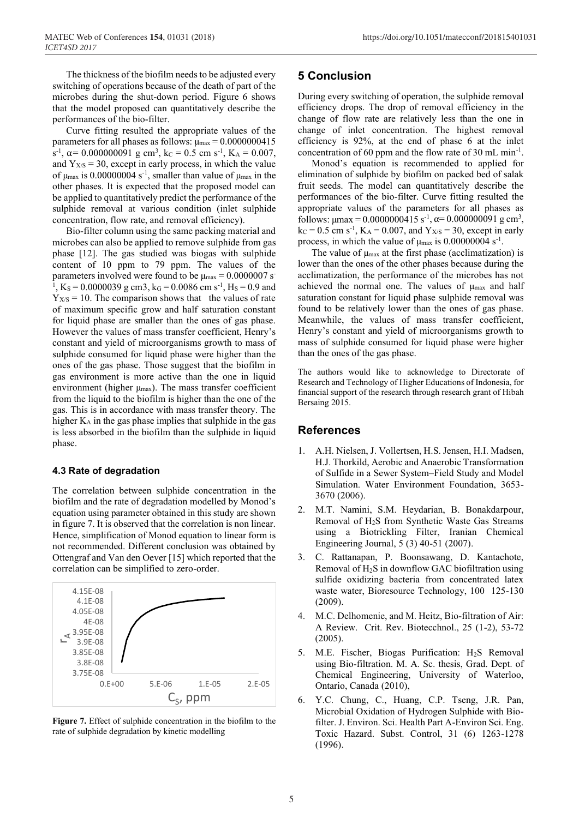The thickness of the biofilm needs to be adjusted every switching of operations because of the death of part of the microbes during the shut-down period. Figure 6 shows that the model proposed can quantitatively describe the performances of the bio-filter.

Curve fitting resulted the appropriate values of the parameters for all phases as follows:  $\mu_{max} = 0.0000000415$ s<sup>-1</sup>, α= 0.000000091 g cm<sup>3</sup>, kc = 0.5 cm s<sup>-1</sup>, K<sub>A</sub> = 0.007, and  $Y_{X/S} = 30$ , except in early process, in which the value of  $\mu_{\text{max}}$  is 0.00000004 s<sup>-1</sup>, smaller than value of  $\mu_{\text{max}}$  in the other phases. It is expected that the proposed model can be applied to quantitatively predict the performance of the sulphide removal at various condition (inlet sulphide concentration, flow rate, and removal efficiency).

Bio-filter column using the same packing material and microbes can also be applied to remove sulphide from gas phase [12]. The gas studied was biogas with sulphide content of 10 ppm to 79 ppm. The values of the parameters involved were found to be  $\mu_{\text{max}} = 0.0000007 \text{ s}^{-1}$ <sup>1</sup>, Ks = 0.0000039 g cm3, k<sub>G</sub> = 0.0086 cm s<sup>-1</sup>, Hs = 0.9 and  $Y_{X/S} = 10$ . The comparison shows that the values of rate of maximum specific grow and half saturation constant for liquid phase are smaller than the ones of gas phase. However the values of mass transfer coefficient, Henry's constant and yield of microorganisms growth to mass of sulphide consumed for liquid phase were higher than the ones of the gas phase. Those suggest that the biofilm in gas environment is more active than the one in liquid environment (higher  $\mu_{\text{max}}$ ). The mass transfer coefficient from the liquid to the biofilm is higher than the one of the gas. This is in accordance with mass transfer theory. The higher KA in the gas phase implies that sulphide in the gas is less absorbed in the biofilm than the sulphide in liquid phase.

#### **4.3 Rate of degradation**

The correlation between sulphide concentration in the biofilm and the rate of degradation modelled by Monod's equation using parameter obtained in this study are shown in figure 7. It is observed that the correlation is non linear. Hence, simplification of Monod equation to linear form is not recommended. Different conclusion was obtained by Ottengraf and Van den Oever [15] which reported that the correlation can be simplified to zero-order.



**Figure 7.** Effect of sulphide concentration in the biofilm to the rate of sulphide degradation by kinetic modelling

# **5 Conclusion**

During every switching of operation, the sulphide removal efficiency drops. The drop of removal efficiency in the change of flow rate are relatively less than the one in change of inlet concentration. The highest removal efficiency is 92%, at the end of phase 6 at the inlet concentration of 60 ppm and the flow rate of 30 mL min-1 .

Monod's equation is recommended to applied for elimination of sulphide by biofilm on packed bed of salak fruit seeds. The model can quantitatively describe the performances of the bio-filter. Curve fitting resulted the appropriate values of the parameters for all phases as follows:  $\mu$ max = 0.0000000415 s<sup>-1</sup>, α= 0.000000091 g cm<sup>3</sup>,  $k_C = 0.5$  cm s<sup>-1</sup>,  $K_A = 0.007$ , and  $Y_{X/S} = 30$ , except in early process, in which the value of  $\mu_{\text{max}}$  is 0.00000004 s<sup>-1</sup>.

The value of  $\mu_{\text{max}}$  at the first phase (acclimatization) is lower than the ones of the other phases because during the acclimatization, the performance of the microbes has not achieved the normal one. The values of  $\mu_{\text{max}}$  and half saturation constant for liquid phase sulphide removal was found to be relatively lower than the ones of gas phase. Meanwhile, the values of mass transfer coefficient, Henry's constant and yield of microorganisms growth to mass of sulphide consumed for liquid phase were higher than the ones of the gas phase.

The authors would like to acknowledge to Directorate of Research and Technology of Higher Educations of Indonesia, for financial support of the research through research grant of Hibah Bersaing 2015.

## **References**

- 1. A.H. Nielsen, J. Vollertsen, H.S. Jensen, H.I. Madsen, H.J. Thorkild, Aerobic and Anaerobic Transformation of Sulfide in a Sewer System–Field Study and Model Simulation. Water Environment Foundation, 3653- 3670 (2006).
- 2. M.T. Namini, S.M. Heydarian, B. Bonakdarpour, Removal of H2S from Synthetic Waste Gas Streams using a Biotrickling Filter, Iranian Chemical Engineering Journal, 5 (3) 40-51 (2007).
- 3. C. Rattanapan, P. Boonsawang, D. Kantachote, Removal of H2S in downflow GAC biofiltration using sulfide oxidizing bacteria from concentrated latex waste water, Bioresource Technology, 100 125-130 (2009).
- M.C. Delhomenie, and M. Heitz, Bio-filtration of Air: A Review. Crit. Rev. Biotecchnol., 25 (1-2), 53-72 (2005).
- 5. M.E. Fischer, Biogas Purification: H2S Removal using Bio-filtration. M. A. Sc. thesis, Grad. Dept. of Chemical Engineering, University of Waterloo, Ontario, Canada (2010),
- Y.C. Chung, C., Huang, C.P. Tseng, J.R. Pan, Microbial Oxidation of Hydrogen Sulphide with Biofilter. J. Environ. Sci. Health Part A-Environ Sci. Eng. Toxic Hazard. Subst. Control, 31 (6) 1263-1278 (1996).